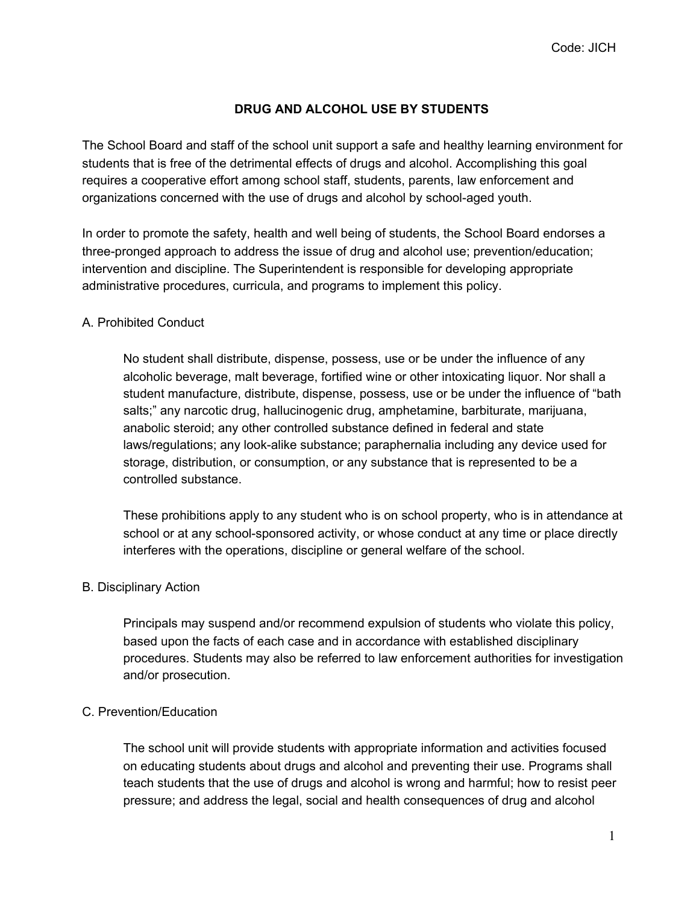# **DRUG AND ALCOHOL USE BY STUDENTS**

The School Board and staff of the school unit support a safe and healthy learning environment for students that is free of the detrimental effects of drugs and alcohol. Accomplishing this goal requires a cooperative effort among school staff, students, parents, law enforcement and organizations concerned with the use of drugs and alcohol by school-aged youth.

In order to promote the safety, health and well being of students, the School Board endorses a three-pronged approach to address the issue of drug and alcohol use; prevention/education; intervention and discipline. The Superintendent is responsible for developing appropriate administrative procedures, curricula, and programs to implement this policy.

## A. Prohibited Conduct

No student shall distribute, dispense, possess, use or be under the influence of any alcoholic beverage, malt beverage, fortified wine or other intoxicating liquor. Nor shall a student manufacture, distribute, dispense, possess, use or be under the influence of "bath salts;" any narcotic drug, hallucinogenic drug, amphetamine, barbiturate, marijuana, anabolic steroid; any other controlled substance defined in federal and state laws/regulations; any look-alike substance; paraphernalia including any device used for storage, distribution, or consumption, or any substance that is represented to be a controlled substance.

These prohibitions apply to any student who is on school property, who is in attendance at school or at any school-sponsored activity, or whose conduct at any time or place directly interferes with the operations, discipline or general welfare of the school.

## B. Disciplinary Action

Principals may suspend and/or recommend expulsion of students who violate this policy, based upon the facts of each case and in accordance with established disciplinary procedures. Students may also be referred to law enforcement authorities for investigation and/or prosecution.

## C. Prevention/Education

The school unit will provide students with appropriate information and activities focused on educating students about drugs and alcohol and preventing their use. Programs shall teach students that the use of drugs and alcohol is wrong and harmful; how to resist peer pressure; and address the legal, social and health consequences of drug and alcohol